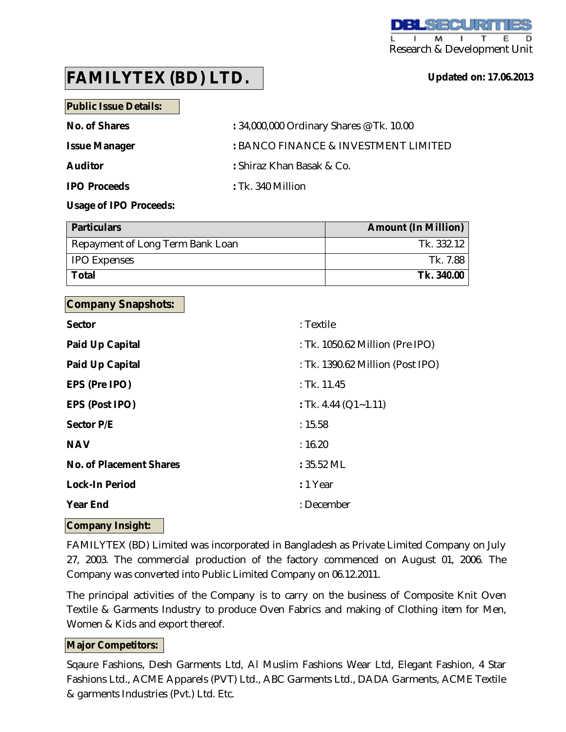**Updated on: 17.06.2013**

# **FAMILYTEX (BD) LTD.**

**Public Issue Details:**

| No. of Shares        | : 34,000,000 Ordinary Shares @ Tk. 10.00 |
|----------------------|------------------------------------------|
| <b>Issue Manager</b> | : BANCO FINANCE & INVESTMENT LIMITED     |
| <b>Auditor</b>       | : Shiraz Khan Basak & Co.                |
| <b>IPO Proceeds</b>  | $:$ Tk. 340 Million                      |

**Usage of IPO Proceeds:** 

| <b>Particulars</b>               | <b>Amount (In Million)</b> |
|----------------------------------|----------------------------|
| Repayment of Long Term Bank Loan | Tk. 332.12                 |
| <b>IPO Expenses</b>              | Tk. 7.88                   |
| Total                            | Tk. 340.00                 |

# **Company Snapshots:**

| <b>Sector</b>                  | : Textile                        |
|--------------------------------|----------------------------------|
| <b>Paid Up Capital</b>         | : Tk. 1050.62 Million (Pre IPO)  |
| <b>Paid Up Capital</b>         | : Tk. 1390.62 Million (Post IPO) |
| EPS (Pre IPO)                  | $:$ Tk. 11.45                    |
| <b>EPS (Post IPO)</b>          | : Tk. 4.44 ( $Q1 - 1.11$ )       |
| <b>Sector P/E</b>              | : 15.58                          |
| <b>NAV</b>                     | : 16.20                          |
| <b>No. of Placement Shares</b> | $: 35.52$ ML                     |
| <b>Lock-In Period</b>          | : 1 Year                         |
| <b>Year End</b>                | : December                       |
|                                |                                  |

# **Company Insight:**

FAMILYTEX (BD) Limited was incorporated in Bangladesh as Private Limited Company on July 27, 2003. The commercial production of the factory commenced on August 01, 2006. The Company was converted into Public Limited Company on 06.12.2011.

The principal activities of the Company is to carry on the business of Composite Knit Oven Textile & Garments Industry to produce Oven Fabrics and making of Clothing item for Men, Women & Kids and export thereof.

# **Major Competitors:**

Sqaure Fashions, Desh Garments Ltd, Al Muslim Fashions Wear Ltd, Elegant Fashion, 4 Star Fashions Ltd., ACME Apparels (PVT) Ltd., ABC Garments Ltd., DADA Garments, ACME Textile & garments Industries (Pvt.) Ltd. Etc.